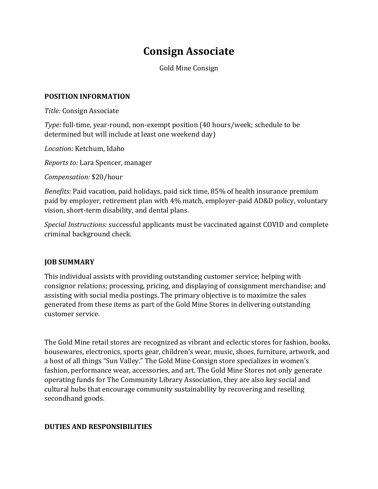# **Consign Associate**

Gold Mine Consign

#### **POSITION INFORMATION**

*Title:* Consign Associate

*Type:* full-time, year-round, non-exempt position (40 hours/week; schedule to be determined but will include at least one weekend day)

*Location:* Ketchum, Idaho

*Reports to:* Lara Spencer, manager

*Compensation:* \$20/hour

*Benefits:* Paid vacation, paid holidays, paid sick time, 85% of health insurance premium paid by employer, retirement plan with 4% match, employer-paid AD&D policy, voluntary vision, short-term disability, and dental plans.

*Special Instructions:* successful applicants must be vaccinated against COVID and complete criminal background check.

#### **JOB SUMMARY**

This individual assists with providing outstanding customer service; helping with consignor relations; processing, pricing, and displaying of consignment merchandise; and assisting with social media postings. The primary objective is to maximize the sales generated from these items as part of the Gold Mine Stores in delivering outstanding customer service.

The Gold Mine retail stores are recognized as vibrant and eclectic stores for fashion, books, housewares, electronics, sports gear, children's wear, music, shoes, furniture, artwork, and a host of all things "Sun Valley." The Gold Mine Consign store specializes in women's fashion, performance wear, accessories, and art. The Gold Mine Stores not only generate operating funds for The Community Library Association, they are also key social and cultural hubs that encourage community sustainability by recovering and reselling secondhand goods.

#### **DUTIES AND RESPONSIBILITIES**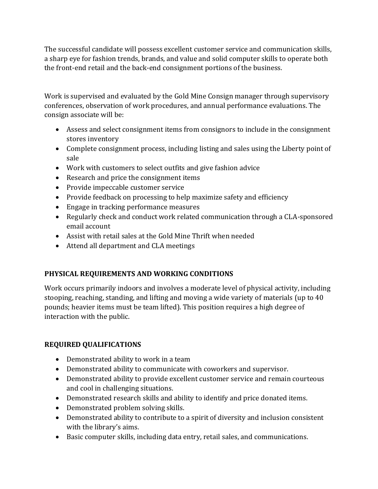The successful candidate will possess excellent customer service and communication skills, a sharp eye for fashion trends, brands, and value and solid computer skills to operate both the front-end retail and the back-end consignment portions of the business.

Work is supervised and evaluated by the Gold Mine Consign manager through supervisory conferences, observation of work procedures, and annual performance evaluations. The consign associate will be:

- Assess and select consignment items from consignors to include in the consignment stores inventory
- Complete consignment process, including listing and sales using the Liberty point of sale
- Work with customers to select outfits and give fashion advice
- Research and price the consignment items
- Provide impeccable customer service
- Provide feedback on processing to help maximize safety and efficiency
- Engage in tracking performance measures
- Regularly check and conduct work related communication through a CLA-sponsored email account
- Assist with retail sales at the Gold Mine Thrift when needed
- Attend all department and CLA meetings

### **PHYSICAL REQUIREMENTS AND WORKING CONDITIONS**

Work occurs primarily indoors and involves a moderate level of physical activity, including stooping, reaching, standing, and lifting and moving a wide variety of materials (up to 40 pounds; heavier items must be team lifted). This position requires a high degree of interaction with the public.

## **REQUIRED QUALIFICATIONS**

- Demonstrated ability to work in a team
- Demonstrated ability to communicate with coworkers and supervisor.
- Demonstrated ability to provide excellent customer service and remain courteous and cool in challenging situations.
- Demonstrated research skills and ability to identify and price donated items.
- Demonstrated problem solving skills.
- Demonstrated ability to contribute to a spirit of diversity and inclusion consistent with the library's aims.
- Basic computer skills, including data entry, retail sales, and communications.